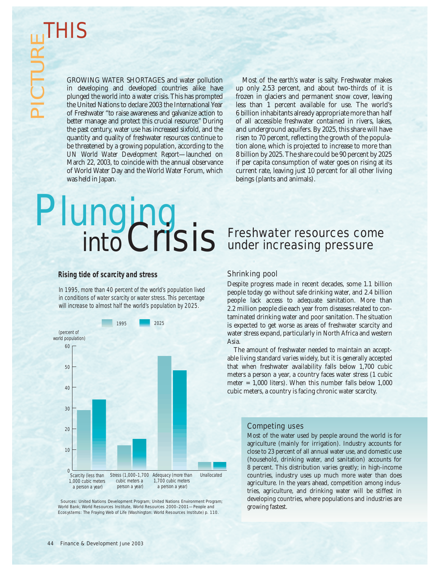GROWING WATER SHORTAGES and water pollution in developing and developed countries alike have plunged the world into a water crisis. This has prompted the United Nations to declare 2003 the International Year of Freshwater "to raise awareness and galvanize action to better manage and protect this crucial resource." During the past century, water use has increased sixfold, and the quantity and quality of freshwater resources continue to be threatened by a growing population, according to the *UN World Water Development Report*—launched on March 22, 2003, to coincide with the annual observance of World Water Day and the World Water Forum, which was held in Japan.

Most of the earth's water is salty. Freshwater makes up only 2.53 percent, and about two-thirds of it is frozen in glaciers and permanent snow cover, leaving less than 1 percent available for use. The world's 6 billion inhabitants already appropriate more than half of all accessible freshwater contained in rivers, lakes, and underground aquifers. By 2025, this share will have risen to 70 percent, reflecting the growth of the population alone, which is projected to increase to more than 8 billion by 2025. The share could be 90 percent by 2025 if per capita consumption of water goes on rising at its current rate, leaving just 10 percent for all other living beings (plants and animals).

# *Plunging intoCrisis*

## **Rising tide of scarcity and stress**

In 1995, more than 40 percent of the world's population lived in conditions of water scarcity or water stress. This percentage will increase to almost half the world's population by 2025.



 Sources: United Nations Development Program; United Nations Environment Program; World Bank; World Resources Institute, *World Resources 2000–2001—People and Ecosystems: The Fraying Web of Life* (Washington: World Resources Institute) p. 110.

# Freshwater resources come under increasing pressure

#### Shrinking pool

Despite progress made in recent decades, some 1.1 billion people today go without safe drinking water, and 2.4 billion people lack access to adequate sanitation. More than 2.2 million people die each year from diseases related to contaminated drinking water and poor sanitation. The situation is expected to get worse as areas of freshwater scarcity and water stress expand, particularly in North Africa and western Asia.

The amount of freshwater needed to maintain an acceptable living standard varies widely, but it is generally accepted that when freshwater availability falls below 1,700 cubic meters a person a year, a country faces water stress (1 cubic meter = 1,000 liters). When this number falls below 1,000 cubic meters, a country is facing chronic water scarcity.

# Competing uses

Most of the water used by people around the world is for agriculture (mainly for irrigation). Industry accounts for close to 23 percent of all annual water use, and domestic use (household, drinking water, and sanitation) accounts for 8 percent. This distribution varies greatly; in high-income countries, industry uses up much more water than does agriculture. In the years ahead, competition among industries, agriculture, and drinking water will be stiffest in developing countries, where populations and industries are growing fastest.